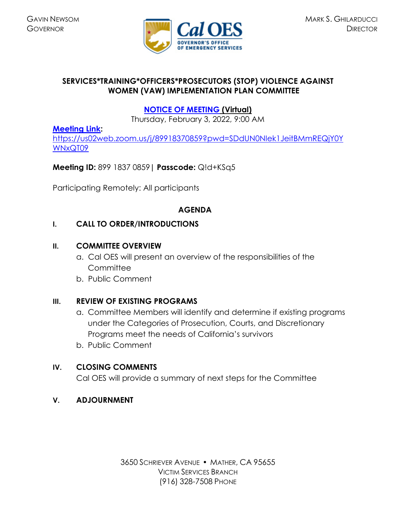

### **SERVICES\*TRAINING\*OFFICERS\*PROSECUTORS (STOP) VIOLENCE AGAINST WOMEN (VAW) IMPLEMENTATION PLAN COMMITTEE**

# **[NOTICE OF MEETING](https://www.caloes.ca.gov/cal-oes-divisions/grants-management/victim-services/meeting-public-notices) (Virtual)**

Thursday, February 3, 2022, 9:00 AM

### **[Meeting Link:](https://bluejeans.com/854262824?src=calendarLink)**

[https://us02web.zoom.us/j/89918370859?pwd=SDdUN0NIek1JeitBMmREQjY0Y](https://us02web.zoom.us/j/89918370859?pwd=SDdUN0NIek1JeitBMmREQjY0YWNxQT09) [WNxQT09](https://us02web.zoom.us/j/89918370859?pwd=SDdUN0NIek1JeitBMmREQjY0YWNxQT09)

## **Meeting ID:** 899 1837 0859**| Passcode:** Q!d+KSq5

Participating Remotely: All participants

### **AGENDA**

### **I. CALL TO ORDER/INTRODUCTIONS**

#### **II. COMMITTEE OVERVIEW**

- a. Cal OES will present an overview of the responsibilities of the **Committee**
- b. Public Comment

## **III. REVIEW OF EXISTING PROGRAMS**

- a. Committee Members will identify and determine if existing programs under the Categories of Prosecution, Courts, and Discretionary Programs meet the needs of California's survivors
- b. Public Comment

## **IV. CLOSING COMMENTS**

Cal OES will provide a summary of next steps for the Committee

#### **V. ADJOURNMENT**

3650 SCHRIEVER AVENUE MATHER, CA 95655 VICTIM SERVICES BRANCH (916) 328-7508 PHONE